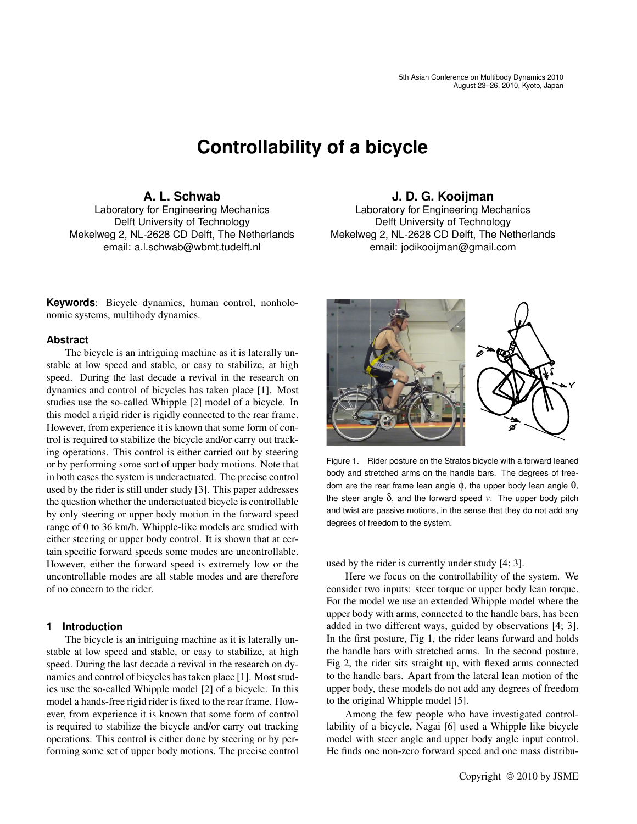# **Controllability of a bicycle**

# **A. L. Schwab**

Laboratory for Engineering Mechanics Delft University of Technology Mekelweg 2, NL-2628 CD Delft, The Netherlands email: a.l.schwab@wbmt.tudelft.nl

**Keywords**: Bicycle dynamics, human control, nonholonomic systems, multibody dynamics.

# **Abstract**

The bicycle is an intriguing machine as it is laterally unstable at low speed and stable, or easy to stabilize, at high speed. During the last decade a revival in the research on dynamics and control of bicycles has taken place [1]. Most studies use the so-called Whipple [2] model of a bicycle. In this model a rigid rider is rigidly connected to the rear frame. However, from experience it is known that some form of control is required to stabilize the bicycle and/or carry out tracking operations. This control is either carried out by steering or by performing some sort of upper body motions. Note that in both cases the system is underactuated. The precise control used by the rider is still under study [3]. This paper addresses the question whether the underactuated bicycle is controllable by only steering or upper body motion in the forward speed range of 0 to 36 km/h. Whipple-like models are studied with either steering or upper body control. It is shown that at certain specific forward speeds some modes are uncontrollable. However, either the forward speed is extremely low or the uncontrollable modes are all stable modes and are therefore of no concern to the rider.

# **1 Introduction**

The bicycle is an intriguing machine as it is laterally unstable at low speed and stable, or easy to stabilize, at high speed. During the last decade a revival in the research on dynamics and control of bicycles has taken place [1]. Most studies use the so-called Whipple model [2] of a bicycle. In this model a hands-free rigid rider is fixed to the rear frame. However, from experience it is known that some form of control is required to stabilize the bicycle and/or carry out tracking operations. This control is either done by steering or by performing some set of upper body motions. The precise control

# **J. D. G. Kooijman**

Laboratory for Engineering Mechanics Delft University of Technology Mekelweg 2, NL-2628 CD Delft, The Netherlands email: jodikooijman@gmail.com



Figure 1. Rider posture on the Stratos bicycle with a forward leaned body and stretched arms on the handle bars. The degrees of freedom are the rear frame lean angle  $φ$ , the upper body lean angle  $θ$ , the steer angle  $\delta$ , and the forward speed  $v$ . The upper body pitch and twist are passive motions, in the sense that they do not add any degrees of freedom to the system.

used by the rider is currently under study [4; 3].

Here we focus on the controllability of the system. We consider two inputs: steer torque or upper body lean torque. For the model we use an extended Whipple model where the upper body with arms, connected to the handle bars, has been added in two different ways, guided by observations [4; 3]. In the first posture, Fig 1, the rider leans forward and holds the handle bars with stretched arms. In the second posture, Fig 2, the rider sits straight up, with flexed arms connected to the handle bars. Apart from the lateral lean motion of the upper body, these models do not add any degrees of freedom to the original Whipple model [5].

Among the few people who have investigated controllability of a bicycle, Nagai [6] used a Whipple like bicycle model with steer angle and upper body angle input control. He finds one non-zero forward speed and one mass distribu-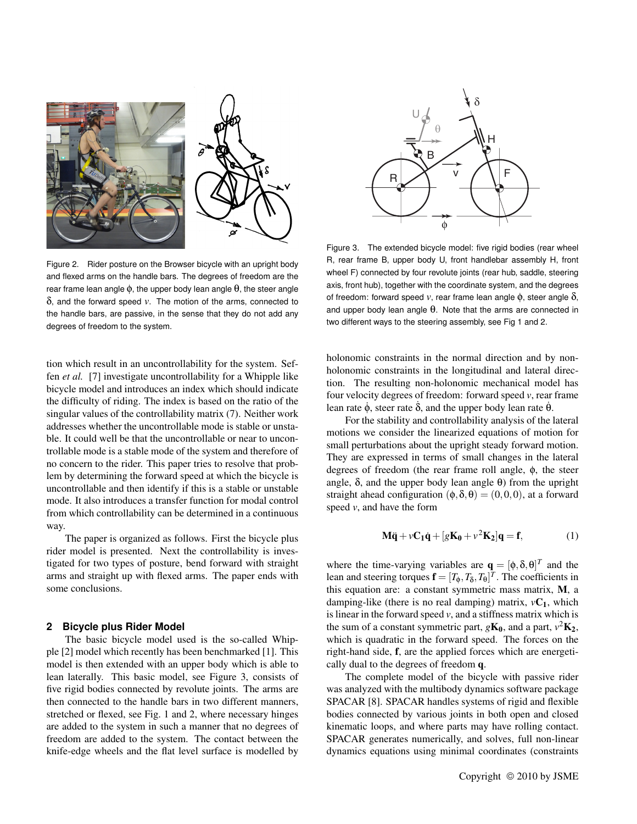

Figure 2. Rider posture on the Browser bicycle with an upright body and flexed arms on the handle bars. The degrees of freedom are the rear frame lean angle  $φ$ , the upper body lean angle  $θ$ , the steer angle δ, and the forward speed *v*. The motion of the arms, connected to the handle bars, are passive, in the sense that they do not add any degrees of freedom to the system.

tion which result in an uncontrollability for the system. Seffen *et al.* [7] investigate uncontrollability for a Whipple like bicycle model and introduces an index which should indicate the difficulty of riding. The index is based on the ratio of the singular values of the controllability matrix (7). Neither work addresses whether the uncontrollable mode is stable or unstable. It could well be that the uncontrollable or near to uncontrollable mode is a stable mode of the system and therefore of no concern to the rider. This paper tries to resolve that problem by determining the forward speed at which the bicycle is uncontrollable and then identify if this is a stable or unstable mode. It also introduces a transfer function for modal control from which controllability can be determined in a continuous way.

The paper is organized as follows. First the bicycle plus rider model is presented. Next the controllability is investigated for two types of posture, bend forward with straight arms and straight up with flexed arms. The paper ends with some conclusions.

### **2 Bicycle plus Rider Model**

The basic bicycle model used is the so-called Whipple [2] model which recently has been benchmarked [1]. This model is then extended with an upper body which is able to lean laterally. This basic model, see Figure 3, consists of five rigid bodies connected by revolute joints. The arms are then connected to the handle bars in two different manners, stretched or flexed, see Fig. 1 and 2, where necessary hinges are added to the system in such a manner that no degrees of freedom are added to the system. The contact between the knife-edge wheels and the flat level surface is modelled by



Figure 3. The extended bicycle model: five rigid bodies (rear wheel R, rear frame B, upper body U, front handlebar assembly H, front wheel F) connected by four revolute joints (rear hub, saddle, steering axis, front hub), together with the coordinate system, and the degrees of freedom: forward speed *v*, rear frame lean angle  $φ$ , steer angle  $δ$ , and upper body lean angle  $\theta$ . Note that the arms are connected in two different ways to the steering assembly, see Fig 1 and 2.

holonomic constraints in the normal direction and by nonholonomic constraints in the longitudinal and lateral direction. The resulting non-holonomic mechanical model has four velocity degrees of freedom: forward speed *v*, rear frame lean rate  $\dot{\phi}$ , steer rate δ, and the upper body lean rate θ.

For the stability and controllability analysis of the lateral motions we consider the linearized equations of motion for small perturbations about the upright steady forward motion. They are expressed in terms of small changes in the lateral degrees of freedom (the rear frame roll angle, φ, the steer angle,  $\delta$ , and the upper body lean angle  $\theta$ ) from the upright straight ahead configuration  $(\phi, \delta, \theta) = (0, 0, 0)$ , at a forward speed *v*, and have the form

$$
\mathbf{M}\ddot{\mathbf{q}} + \nu \mathbf{C}_1 \dot{\mathbf{q}} + [g\mathbf{K}_0 + \nu^2 \mathbf{K}_2] \mathbf{q} = \mathbf{f},\tag{1}
$$

where the time-varying variables are  $\mathbf{q} = [\phi, \delta, \theta]^T$  and the lean and steering torques  $\mathbf{f} = [T_{\phi}, T_{\delta}, T_{\theta}]^T$ . The coefficients in this equation are: a constant symmetric mass matrix, M, a damping-like (there is no real damping) matrix,  $vC_1$ , which is linear in the forward speed *v*, and a stiffness matrix which is the sum of a constant symmetric part,  $g\mathbf{K_0}$ , and a part,  $v^2\mathbf{K_2}$ , which is quadratic in the forward speed. The forces on the right-hand side, f, are the applied forces which are energetically dual to the degrees of freedom q.

The complete model of the bicycle with passive rider was analyzed with the multibody dynamics software package SPACAR [8]. SPACAR handles systems of rigid and flexible bodies connected by various joints in both open and closed kinematic loops, and where parts may have rolling contact. SPACAR generates numerically, and solves, full non-linear dynamics equations using minimal coordinates (constraints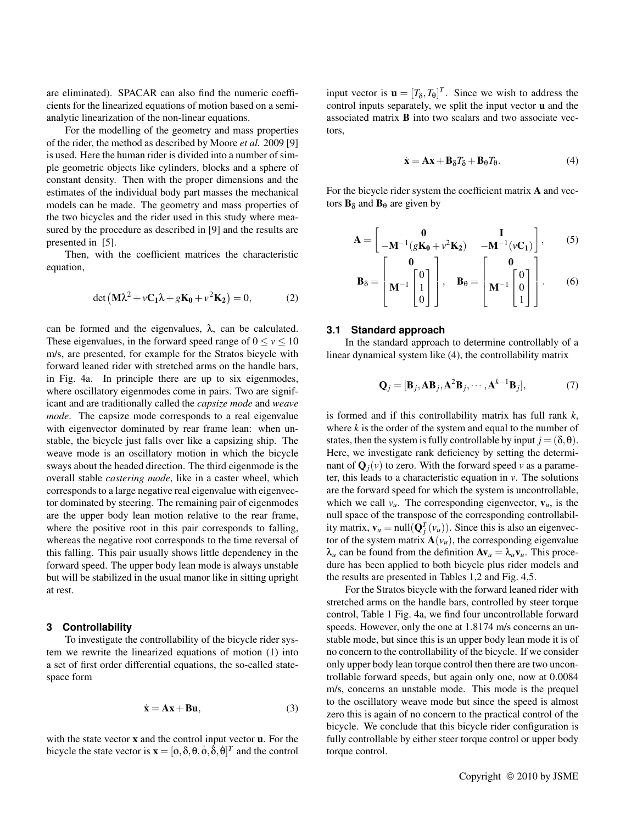are eliminated). SPACAR can also find the numeric coefficients for the linearized equations of motion based on a semianalytic linearization of the non-linear equations.

For the modelling of the geometry and mass properties of the rider, the method as described by Moore *et al.* 2009 [9] is used. Here the human rider is divided into a number of simple geometric objects like cylinders, blocks and a sphere of constant density. Then with the proper dimensions and the estimates of the individual body part masses the mechanical models can be made. The geometry and mass properties of the two bicycles and the rider used in this study where measured by the procedure as described in [9] and the results are presented in [5].

Then, with the coefficient matrices the characteristic equation,

$$
\det\left(\mathbf{M}\lambda^2 + v\mathbf{C}_1\lambda + g\mathbf{K}_0 + v^2\mathbf{K}_2\right) = 0,\tag{2}
$$

can be formed and the eigenvalues, λ, can be calculated. These eigenvalues, in the forward speed range of  $0 \le v \le 10$ m/s, are presented, for example for the Stratos bicycle with forward leaned rider with stretched arms on the handle bars, in Fig. 4a. In principle there are up to six eigenmodes, where oscillatory eigenmodes come in pairs. Two are significant and are traditionally called the *capsize mode* and *weave mode*. The capsize mode corresponds to a real eigenvalue with eigenvector dominated by rear frame lean: when unstable, the bicycle just falls over like a capsizing ship. The weave mode is an oscillatory motion in which the bicycle sways about the headed direction. The third eigenmode is the overall stable *castering mode*, like in a caster wheel, which corresponds to a large negative real eigenvalue with eigenvector dominated by steering. The remaining pair of eigenmodes are the upper body lean motion relative to the rear frame, where the positive root in this pair corresponds to falling, whereas the negative root corresponds to the time reversal of this falling. This pair usually shows little dependency in the forward speed. The upper body lean mode is always unstable but will be stabilized in the usual manor like in sitting upright at rest.

#### **3 Controllability**

To investigate the controllability of the bicycle rider system we rewrite the linearized equations of motion (1) into a set of first order differential equations, the so-called statespace form

$$
\dot{\mathbf{x}} = \mathbf{A}\mathbf{x} + \mathbf{B}\mathbf{u},\tag{3}
$$

with the state vector  $x$  and the control input vector  $u$ . For the bicycle the state vector is  $\mathbf{x} = [\phi, \delta, \theta, \dot{\phi}, \dot{\delta}, \dot{\theta}]^T$  and the control

input vector is  $\mathbf{u} = [T_{\delta}, T_{\theta}]^{T}$ . Since we wish to address the control inputs separately, we split the input vector u and the associated matrix B into two scalars and two associate vectors,

$$
\dot{\mathbf{x}} = \mathbf{A}\mathbf{x} + \mathbf{B}_{\delta}T_{\delta} + \mathbf{B}_{\theta}T_{\theta}.
$$
 (4)

For the bicycle rider system the coefficient matrix A and vectors  $\mathbf{B}_{\delta}$  and  $\mathbf{B}_{\theta}$  are given by

$$
\mathbf{A} = \begin{bmatrix} \mathbf{0} & \mathbf{I} \\ -\mathbf{M}^{-1}(\mathbf{g}\mathbf{K_0} + \mathbf{v}^2\mathbf{K_2}) & -\mathbf{M}^{-1}(\mathbf{v}\mathbf{C_1}) \end{bmatrix}, \quad (5)
$$

$$
\mathbf{B}_{\delta} = \begin{bmatrix} \mathbf{M}^{-1} \begin{bmatrix} 0 \\ 1 \\ 0 \end{bmatrix} \end{bmatrix}, \quad \mathbf{B}_{\theta} = \begin{bmatrix} \mathbf{M}^{-1} \begin{bmatrix} 0 \\ 0 \\ 1 \end{bmatrix} \end{bmatrix}. \tag{6}
$$

#### **3.1 Standard approach**

In the standard approach to determine controllably of a linear dynamical system like (4), the controllability matrix

$$
\mathbf{Q}_{j} = [\mathbf{B}_{j}, \mathbf{A}\mathbf{B}_{j}, \mathbf{A}^{2}\mathbf{B}_{j}, \cdots, \mathbf{A}^{k-1}\mathbf{B}_{j}],
$$
 (7)

is formed and if this controllability matrix has full rank *k*, where  $k$  is the order of the system and equal to the number of states, then the system is fully controllable by input  $j = (\delta, \theta)$ . Here, we investigate rank deficiency by setting the determinant of  $\mathbf{Q}_i(v)$  to zero. With the forward speed v as a parameter, this leads to a characteristic equation in *v*. The solutions are the forward speed for which the system is uncontrollable, which we call  $v_u$ . The corresponding eigenvector,  $v_u$ , is the null space of the transpose of the corresponding controllability matrix,  $\mathbf{v}_u = \text{null}(\mathbf{Q}_j^T(v_u))$ . Since this is also an eigenvector of the system matrix  $\mathbf{A}(v_u)$ , the corresponding eigenvalue  $\lambda_u$  can be found from the definition  $A v_u = \lambda_u v_u$ . This procedure has been applied to both bicycle plus rider models and the results are presented in Tables 1,2 and Fig. 4,5.

For the Stratos bicycle with the forward leaned rider with stretched arms on the handle bars, controlled by steer torque control, Table 1 Fig. 4a, we find four uncontrollable forward speeds. However, only the one at 1.8174 m/s concerns an unstable mode, but since this is an upper body lean mode it is of no concern to the controllability of the bicycle. If we consider only upper body lean torque control then there are two uncontrollable forward speeds, but again only one, now at 0.0084 m/s, concerns an unstable mode. This mode is the prequel to the oscillatory weave mode but since the speed is almost zero this is again of no concern to the practical control of the bicycle. We conclude that this bicycle rider configuration is fully controllable by either steer torque control or upper body torque control.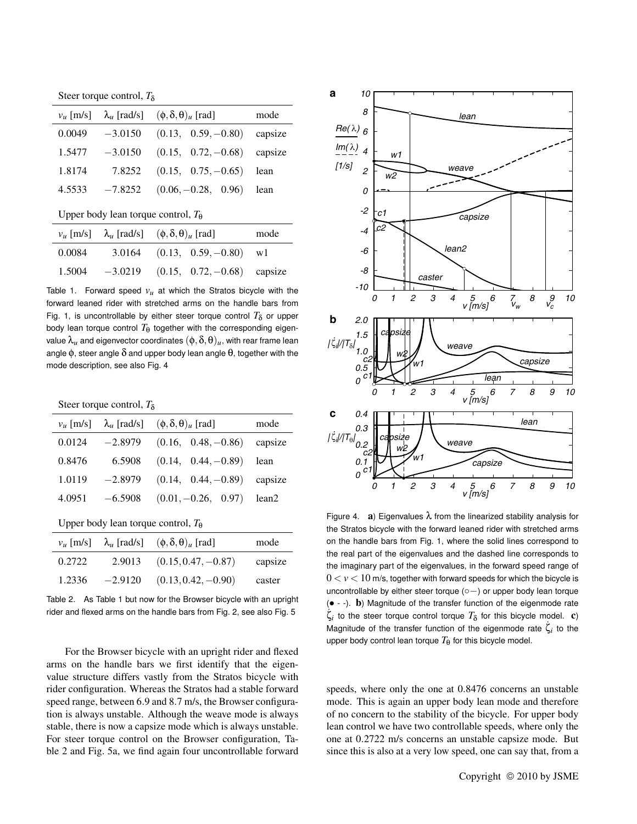Steer torque control, *T*<sub>δ</sub>

| $v_{\mu}$ [m/s] |           | $\lambda_u$ [rad/s] $(\phi, \delta, \theta)_u$ [rad] | mode    |
|-----------------|-----------|------------------------------------------------------|---------|
| 0.0049          | $-3.0150$ | $(0.13, 0.59, -0.80)$                                | capsize |
| 1.5477          | $-3.0150$ | $(0.15, 0.72, -0.68)$ capsize                        |         |
| 1.8174          | 7.8252    | $(0.15, 0.75, -0.65)$ lean                           |         |
| 4.5533          | $-7.8252$ | $(0.06, -0.28, 0.96)$ lean                           |         |
|                 |           |                                                      |         |

Upper body lean torque control,  $T_{\theta}$ 

|        | $v_u$ [m/s] $\lambda_u$ [rad/s] $(\phi, \delta, \theta)_u$ [rad] | mode |
|--------|------------------------------------------------------------------|------|
| 0.0084 | 3.0164 $(0.13, 0.59, -0.80)$ w1                                  |      |
| 1.5004 | $-3.0219$ $(0.15, 0.72, -0.68)$ capsize                          |      |

Table 1. Forward speed  $v<sub>u</sub>$  at which the Stratos bicycle with the forward leaned rider with stretched arms on the handle bars from Fig. 1, is uncontrollable by either steer torque control  $T_{\delta}$  or upper body lean torque control  $T_{\theta}$  together with the corresponding eigenvalue  $\lambda_u$  and eigenvector coordinates  $(\phi, \delta, \theta)_u$ , with rear frame lean angle  $\phi$ , steer angle  $\delta$  and upper body lean angle  $\theta$ , together with the mode description, see also Fig. 4

Steer torque control, *T*<sub>δ</sub>

| $v_{\mu}$ [m/s] | $\lambda_u$ [rad/s] | $(\phi, \delta, \theta)$ <sub>u</sub> [rad] | mode    |
|-----------------|---------------------|---------------------------------------------|---------|
| 0.0124          | $-2.8979$           | $(0.16, 0.48, -0.86)$                       | capsize |
| 0.8476          | 6.5908              | $(0.14, 0.44, -0.89)$                       | lean    |
| 1.0119          | $-2.8979$           | $(0.14, 0.44, -0.89)$                       | capsize |
| 4.0951          | $-6.5908$           | $(0.01, -0.26, 0.97)$                       | lean2   |
|                 |                     |                                             |         |

Upper body lean torque control,  $T_{\theta}$ 

| $v_{\mu}$ [m/s] |           | $\lambda_u$ [rad/s] $(\phi, \delta, \theta)_u$ [rad] | mode    |
|-----------------|-----------|------------------------------------------------------|---------|
| 0.2722          | 2.9013    | $(0.15, 0.47, -0.87)$                                | capsize |
| 1.2336          | $-2.9120$ | $(0.13, 0.42, -0.90)$                                | caster  |

Table 2. As Table 1 but now for the Browser bicycle with an upright rider and flexed arms on the handle bars from Fig. 2, see also Fig. 5

For the Browser bicycle with an upright rider and flexed arms on the handle bars we first identify that the eigenvalue structure differs vastly from the Stratos bicycle with rider configuration. Whereas the Stratos had a stable forward speed range, between 6.9 and 8.7 m/s, the Browser configuration is always unstable. Although the weave mode is always stable, there is now a capsize mode which is always unstable. For steer torque control on the Browser configuration, Table 2 and Fig. 5a, we find again four uncontrollable forward



Figure 4. **a**) Eigenvalues  $\lambda$  from the linearized stability analysis for the Stratos bicycle with the forward leaned rider with stretched arms on the handle bars from Fig. 1, where the solid lines correspond to the real part of the eigenvalues and the dashed line corresponds to the imaginary part of the eigenvalues, in the forward speed range of  $0 < v < 10$  m/s, together with forward speeds for which the bicycle is uncontrollable by either steer torque (◦−) or upper body lean torque  $(• - -).$  b) Magnitude of the transfer function of the eigenmode rate  $\dot{\zeta}_i$  to the steer torque control torque  $T_\delta$  for this bicycle model. c) Magnitude of the transfer function of the eigenmode rate  $\zeta_i$  to the upper body control lean torque  $T_{\theta}$  for this bicycle model.

speeds, where only the one at 0.8476 concerns an unstable mode. This is again an upper body lean mode and therefore of no concern to the stability of the bicycle. For upper body lean control we have two controllable speeds, where only the one at 0.2722 m/s concerns an unstable capsize mode. But since this is also at a very low speed, one can say that, from a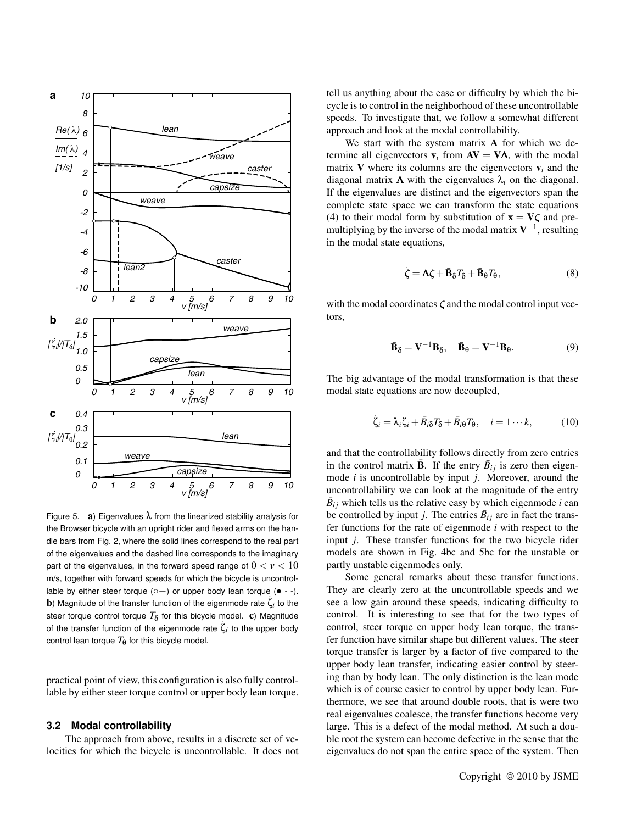

Figure 5. **a**) Eigenvalues  $\lambda$  from the linearized stability analysis for the Browser bicycle with an upright rider and flexed arms on the handle bars from Fig. 2, where the solid lines correspond to the real part of the eigenvalues and the dashed line corresponds to the imaginary part of the eigenvalues, in the forward speed range of  $0 < v < 10$ m/s, together with forward speeds for which the bicycle is uncontrollable by either steer torque ( $\circ$  –) or upper body lean torque ( $\bullet$  --). **b**) Magnitude of the transfer function of the eigenmode rate  $\zeta$ <sup>*i*</sup> to the steer torque control torque  $T_\delta$  for this bicycle model.  $\mathbf c$ ) Magnitude of the transfer function of the eigenmode rate  $\zeta_i$  to the upper body control lean torque  $T_{\theta}$  for this bicycle model.

practical point of view, this configuration is also fully controllable by either steer torque control or upper body lean torque.

#### **3.2 Modal controllability**

The approach from above, results in a discrete set of velocities for which the bicycle is uncontrollable. It does not

tell us anything about the ease or difficulty by which the bicycle is to control in the neighborhood of these uncontrollable speeds. To investigate that, we follow a somewhat different approach and look at the modal controllability.

We start with the system matrix A for which we determine all eigenvectors  $v_i$  from  $AV = VA$ , with the modal matrix V where its columns are the eigenvectors  $v_i$  and the diagonal matrix  $\Lambda$  with the eigenvalues  $\lambda_i$  on the diagonal. If the eigenvalues are distinct and the eigenvectors span the complete state space we can transform the state equations (4) to their modal form by substitution of  $x = V\zeta$  and premultiplying by the inverse of the modal matrix  $V^{-1}$ , resulting in the modal state equations,

$$
\dot{\zeta} = \Lambda \zeta + \bar{\mathbf{B}}_{\delta} T_{\delta} + \bar{\mathbf{B}}_{\theta} T_{\theta},\tag{8}
$$

with the modal coordinates  $\zeta$  and the modal control input vectors,

$$
\bar{\mathbf{B}}_{\delta} = \mathbf{V}^{-1} \mathbf{B}_{\delta}, \quad \bar{\mathbf{B}}_{\theta} = \mathbf{V}^{-1} \mathbf{B}_{\theta}.
$$
 (9)

The big advantage of the modal transformation is that these modal state equations are now decoupled,

$$
\dot{\zeta}_i = \lambda_i \zeta_i + \bar{B}_{i\delta} T_{\delta} + \bar{B}_{i\theta} T_{\theta}, \quad i = 1 \cdots k,
$$
 (10)

and that the controllability follows directly from zero entries in the control matrix  $\bar{\mathbf{B}}$ . If the entry  $\bar{B}_{ij}$  is zero then eigenmode *i* is uncontrollable by input *j*. Moreover, around the uncontrollability we can look at the magnitude of the entry  $\bar{B}_{ij}$  which tells us the relative easy by which eigenmode *i* can be controlled by input *j*. The entries  $\bar{B}_{ij}$  are in fact the transfer functions for the rate of eigenmode *i* with respect to the input *j*. These transfer functions for the two bicycle rider models are shown in Fig. 4bc and 5bc for the unstable or partly unstable eigenmodes only.

Some general remarks about these transfer functions. They are clearly zero at the uncontrollable speeds and we see a low gain around these speeds, indicating difficulty to control. It is interesting to see that for the two types of control, steer torque en upper body lean torque, the transfer function have similar shape but different values. The steer torque transfer is larger by a factor of five compared to the upper body lean transfer, indicating easier control by steering than by body lean. The only distinction is the lean mode which is of course easier to control by upper body lean. Furthermore, we see that around double roots, that is were two real eigenvalues coalesce, the transfer functions become very large. This is a defect of the modal method. At such a double root the system can become defective in the sense that the eigenvalues do not span the entire space of the system. Then